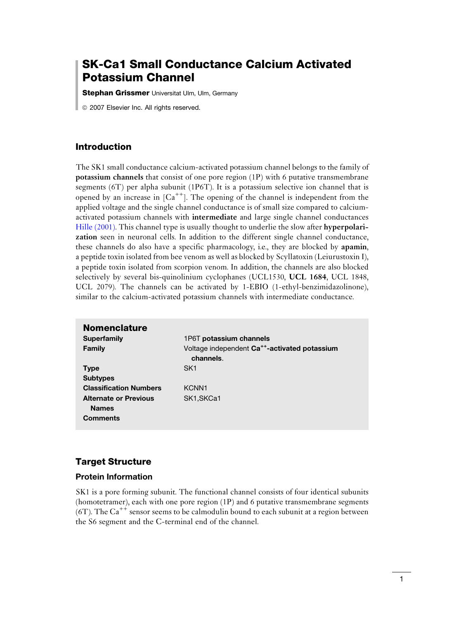# SK-Ca1 Small Conductance Calcium Activated Potassium Channel

**Stephan Grissmer** Universitat Ulm, Ulm, Germany

*ã* 2007 Elsevier Inc. All rights reserved.

#### Introduction

The SK1 small conductance calcium-activated potassium channel belongs to the family of potassium channels that consist of one pore region (1P) with 6 putative transmembrane segments (6T) per alpha subunit (1P6T). It is a potassium selective ion channel that is opened by an increase in  $[Ca^{++}]$ . The opening of the channel is independent from the applied voltage and the single channel conductance is of small size compared to calciumactivated potassium channels with intermediate and large single channel conductances [Hille \(2001\)](#page-6-0). This channel type is usually thought to underlie the slow after hyperpolarization seen in neuronal cells. In addition to the different single channel conductance, these channels do also have a specific pharmacology, i.e., they are blocked by apamin, a peptide toxin isolated from bee venom as well as blocked by Scyllatoxin (Leiurustoxin I), a peptide toxin isolated from scorpion venom. In addition, the channels are also blocked selectively by several bis-quinolinium cyclophanes (UCL1530, UCL 1684, UCL 1848, UCL 2079). The channels can be activated by 1-EBIO (1-ethyl-benzimidazolinone), similar to the calcium-activated potassium channels with intermediate conductance.

| <b>Nomenclature</b>                          |                                                                        |
|----------------------------------------------|------------------------------------------------------------------------|
| Superfamily                                  | 1P6T potassium channels                                                |
| Family                                       | Voltage independent Ca <sup>++</sup> -activated potassium<br>channels. |
| <b>Type</b>                                  | SK <sub>1</sub>                                                        |
| <b>Subtypes</b>                              |                                                                        |
| <b>Classification Numbers</b>                | KCNN <sub>1</sub>                                                      |
| <b>Alternate or Previous</b><br><b>Names</b> | SK <sub>1</sub> .SKCa <sub>1</sub>                                     |
| <b>Comments</b>                              |                                                                        |

#### Target Structure

#### Protein Information

SK1 is a pore forming subunit. The functional channel consists of four identical subunits (homotetramer), each with one pore region (1P) and 6 putative transmembrane segments  $(6T)$ . The Ca<sup>++</sup> sensor seems to be calmodulin bound to each subunit at a region between the S6 segment and the C-terminal end of the channel.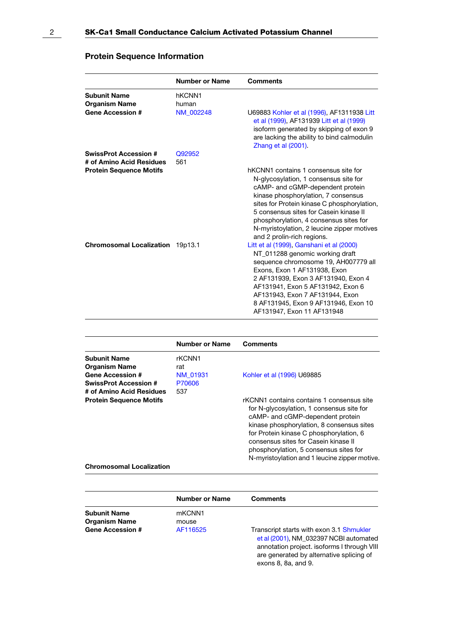|                                                                                            | <b>Number or Name</b>        | <b>Comments</b>                                                                                                                                                                                                                                                                                                                                                         |
|--------------------------------------------------------------------------------------------|------------------------------|-------------------------------------------------------------------------------------------------------------------------------------------------------------------------------------------------------------------------------------------------------------------------------------------------------------------------------------------------------------------------|
| <b>Subunit Name</b><br><b>Organism Name</b><br><b>Gene Accession #</b>                     | hKCNN1<br>human<br>NM 002248 | U69883 Kohler et al (1996), AF1311938 Litt<br>et al (1999), AF131939 Litt et al (1999)<br>isoform generated by skipping of exon 9<br>are lacking the ability to bind calmodulin<br>Zhang et al (2001).                                                                                                                                                                  |
| <b>SwissProt Accession #</b><br># of Amino Acid Residues<br><b>Protein Sequence Motifs</b> | Q92952<br>561                | hKCNN1 contains 1 consensus site for<br>N-glycosylation, 1 consensus site for<br>cAMP- and cGMP-dependent protein<br>kinase phosphorylation, 7 consensus<br>sites for Protein kinase C phosphorylation,<br>5 consensus sites for Casein kinase II<br>phosphorylation, 4 consensus sites for<br>N-myristoylation, 2 leucine zipper motives<br>and 2 prolin-rich regions. |
| <b>Chromosomal Localization</b>                                                            | 19p13.1                      | Litt et al (1999), Ganshani et al (2000)<br>NT_011288 genomic working draft<br>sequence chromosome 19, AH007779 all<br>Exons, Exon 1 AF131938, Exon<br>2 AF131939. Exon 3 AF131940. Exon 4<br>AF131941, Exon 5 AF131942, Exon 6<br>AF131943, Exon 7 AF131944, Exon<br>8 AF131945, Exon 9 AF131946, Exon 10<br>AF131947, Exon 11 AF131948                                |

### Protein Sequence Information

|                                 | <b>Number or Name</b> | Comments                                                                                                                                                                                                                                                                                                                                              |
|---------------------------------|-----------------------|-------------------------------------------------------------------------------------------------------------------------------------------------------------------------------------------------------------------------------------------------------------------------------------------------------------------------------------------------------|
| <b>Subunit Name</b>             | rKCNN1                |                                                                                                                                                                                                                                                                                                                                                       |
| <b>Organism Name</b>            | rat                   |                                                                                                                                                                                                                                                                                                                                                       |
| <b>Gene Accession #</b>         | NM 01931              | Kohler et al (1996) U69885                                                                                                                                                                                                                                                                                                                            |
| <b>SwissProt Accession #</b>    | P70606                |                                                                                                                                                                                                                                                                                                                                                       |
| # of Amino Acid Residues        | 537                   |                                                                                                                                                                                                                                                                                                                                                       |
| <b>Protein Sequence Motifs</b>  |                       | rKCNN1 contains contains 1 consensus site<br>for N-glycosylation, 1 consensus site for<br>cAMP- and cGMP-dependent protein<br>kinase phosphorylation, 8 consensus sites<br>for Protein kinase C phosphorylation, 6<br>consensus sites for Casein kinase II<br>phosphorylation, 5 consensus sites for<br>N-myristoylation and 1 leucine zipper motive. |
| <b>Chromosomal Localization</b> |                       |                                                                                                                                                                                                                                                                                                                                                       |

|                         | <b>Number or Name</b> | <b>Comments</b>                                                                                                                                                                                      |
|-------------------------|-----------------------|------------------------------------------------------------------------------------------------------------------------------------------------------------------------------------------------------|
| <b>Subunit Name</b>     | mKCNN1                |                                                                                                                                                                                                      |
| <b>Organism Name</b>    | mouse                 |                                                                                                                                                                                                      |
| <b>Gene Accession #</b> | AF116525              | Transcript starts with exon 3.1 Shmukler<br>et al (2001), NM 032397 NCBI automated<br>annotation project. isoforms I through VIII<br>are generated by alternative splicing of<br>exons 8, 8a, and 9. |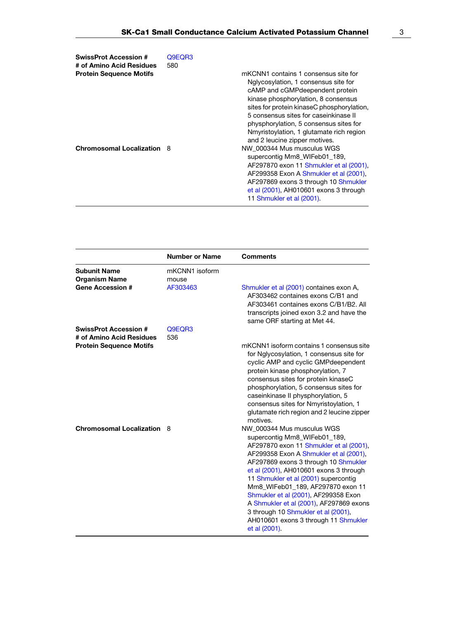| <b>SwissProt Accession #</b>   | Q9EQR3 |                                                                                                                                                                                                                                                                                                                               |
|--------------------------------|--------|-------------------------------------------------------------------------------------------------------------------------------------------------------------------------------------------------------------------------------------------------------------------------------------------------------------------------------|
| # of Amino Acid Residues       | 580    |                                                                                                                                                                                                                                                                                                                               |
| <b>Protein Sequence Motifs</b> |        | mKCNN1 contains 1 consensus site for                                                                                                                                                                                                                                                                                          |
|                                |        | Nglycosylation, 1 consensus site for<br>cAMP and cGMP deependent protein<br>kinase phosphorylation, 8 consensus<br>sites for protein kinaseC phosphorylation,<br>5 consensus sites for caseinkinase II<br>physphorylation, 5 consensus sites for<br>Nmyristoylation, 1 glutamate rich region<br>and 2 leucine zipper motives. |
| Chromosomal Localization 8     |        | NW 000344 Mus musculus WGS<br>supercontig Mm8 WIFeb01 189,<br>AF297870 exon 11 Shmukler et al (2001).<br>AF299358 Exon A Shmukler et al (2001).<br>AF297869 exons 3 through 10 Shmukler<br>et al (2001), AH010601 exons 3 through<br>11 Shmukler et al (2001).                                                                |

|                                                                        | <b>Number or Name</b>               | <b>Comments</b>                                                                                                                                                                                                                                                                                                                                                                                                                                                                                   |
|------------------------------------------------------------------------|-------------------------------------|---------------------------------------------------------------------------------------------------------------------------------------------------------------------------------------------------------------------------------------------------------------------------------------------------------------------------------------------------------------------------------------------------------------------------------------------------------------------------------------------------|
| <b>Subunit Name</b><br><b>Organism Name</b><br><b>Gene Accession #</b> | mKCNN1 isoform<br>mouse<br>AF303463 | Shmukler et al (2001) containes exon A,                                                                                                                                                                                                                                                                                                                                                                                                                                                           |
|                                                                        |                                     | AF303462 containes exons C/B1 and<br>AF303461 containes exons C/B1/B2, All<br>transcripts joined exon 3.2 and have the<br>same ORF starting at Met 44.                                                                                                                                                                                                                                                                                                                                            |
| <b>SwissProt Accession #</b>                                           | Q9EQR3                              |                                                                                                                                                                                                                                                                                                                                                                                                                                                                                                   |
| # of Amino Acid Residues                                               | 536                                 |                                                                                                                                                                                                                                                                                                                                                                                                                                                                                                   |
| <b>Protein Sequence Motifs</b>                                         |                                     | mKCNN1 isoform contains 1 consensus site<br>for Nglycosylation, 1 consensus site for<br>cyclic AMP and cyclic GMP deependent<br>protein kinase phosphorylation, 7<br>consensus sites for protein kinaseC<br>phosphorylation, 5 consensus sites for<br>caseinkinase II physphorylation, 5<br>consensus sites for Nmyristoylation, 1<br>glutamate rich region and 2 leucine zipper<br>motives.                                                                                                      |
| <b>Chromosomal Localization</b>                                        | -8                                  | NW 000344 Mus musculus WGS<br>supercontig Mm8_WIFeb01_189,<br>AF297870 exon 11 Shmukler et al (2001),<br>AF299358 Exon A Shmukler et al (2001).<br>AF297869 exons 3 through 10 Shmukler<br>et al (2001), AH010601 exons 3 through<br>11 Shmukler et al (2001) supercontig<br>Mm8 WIFeb01 189, AF297870 exon 11<br>Shmukler et al (2001), AF299358 Exon<br>A Shmukler et al (2001), AF297869 exons<br>3 through 10 Shmukler et al (2001),<br>AH010601 exons 3 through 11 Shmukler<br>et al (2001). |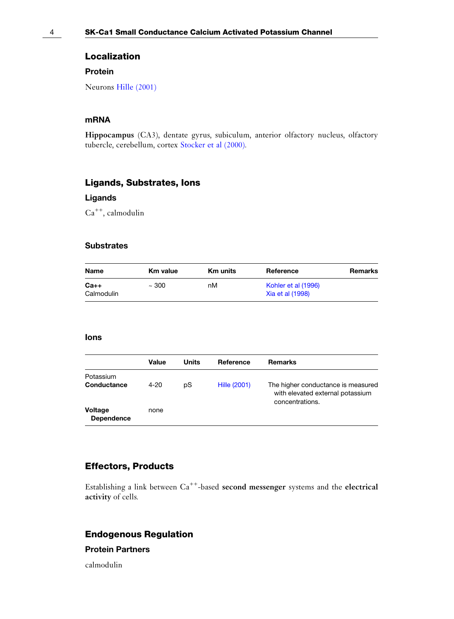#### Localization

#### Protein

Neurons [Hille \(2001\)](#page-6-0)

### mRNA

Hippocampus (CA3), dentate gyrus, subiculum, anterior olfactory nucleus, olfactory tubercle, cerebellum, cortex [Stocker et al \(2000\).](#page-6-0)

#### Ligands, Substrates, Ions

### Ligands

 $Ca^{++}$ , calmodulin

#### **Substrates**

| Name                 | <b>Km value</b> | <b>Km</b> units | Reference                               | Remarks |
|----------------------|-----------------|-----------------|-----------------------------------------|---------|
| $Ca++$<br>Calmodulin | ~100            | пM              | Kohler et al (1996)<br>Xia et al (1998) |         |

#### Ions

|                              | Value    | Units | Reference    | <b>Remarks</b>                                                                            |
|------------------------------|----------|-------|--------------|-------------------------------------------------------------------------------------------|
| Potassium<br>Conductance     | $4 - 20$ | pS    | Hille (2001) | The higher conductance is measured<br>with elevated external potassium<br>concentrations. |
| <b>Voltage</b><br>Dependence | none     |       |              |                                                                                           |

### Effectors, Products

Establishing a link between Ca<sup>++</sup>-based second messenger systems and the electrical activity of cells.

### Endogenous Regulation

### Protein Partners

calmodulin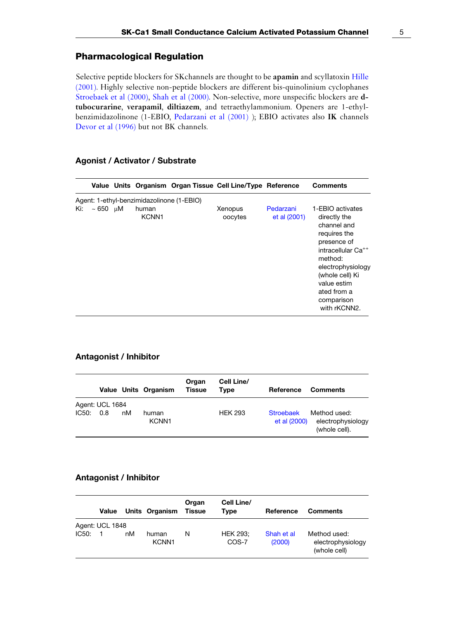### Pharmacological Regulation

Selective peptide blockers for SKchannels are thought to be apamin and scyllatoxin [Hille](#page-6-0) [\(2001\).](#page-6-0) Highly selective non-peptide blockers are different bis-quinolinium cyclophanes [Stroebaek et al \(2000\),](#page-6-0) [Shah et al \(2000\).](#page-6-0) Non-selective, more unspecific blockers are dtubocurarine, verapamil, diltiazem, and tetraethylammonium. Openers are 1-ethylbenzimidazolinone (1-EBIO, [Pedarzani et al \(2001\)](#page-6-0) ); EBIO activates also IK channels [Devor et al \(1996\)](#page-6-0) but not BK channels.

#### Agonist / Activator / Substrate

|     |                    |                                           | Value Units Organism Organ Tissue Cell Line/Type Reference |                           | <b>Comments</b>                                                                                                                                                                                                                 |
|-----|--------------------|-------------------------------------------|------------------------------------------------------------|---------------------------|---------------------------------------------------------------------------------------------------------------------------------------------------------------------------------------------------------------------------------|
|     |                    | Agent: 1-ethyl-benzimidazolinone (1-EBIO) |                                                            |                           |                                                                                                                                                                                                                                 |
| Ki: | $\sim 650$ $\mu$ M | human<br>KCNN1                            | Xenopus<br>oocytes                                         | Pedarzani<br>et al (2001) | 1-EBIO activates<br>directly the<br>channel and<br>requires the<br>presence of<br>intracellular Ca <sup>++</sup><br>method:<br>electrophysiology<br>(whole cell) Ki<br>value estim<br>ated from a<br>comparison<br>with rKCNN2. |

#### Antagonist / Inhibitor

|       |                        |    | Value Units Organism       | Organ<br><b>Tissue</b> | Cell Line/<br>Type | Reference                        | <b>Comments</b>                                    |
|-------|------------------------|----|----------------------------|------------------------|--------------------|----------------------------------|----------------------------------------------------|
| IC50: | Agent: UCL 1684<br>0.8 | nM | human<br>KCNN <sub>1</sub> |                        | <b>HEK 293</b>     | <b>Stroebaek</b><br>et al (2000) | Method used:<br>electrophysiology<br>(whole cell). |

#### Antagonist / Inhibitor

|       | Value           |    | Units Organism             | Organ<br><b>Tissue</b> | Cell Line/<br>Tvpe       | Reference            | <b>Comments</b>                                   |
|-------|-----------------|----|----------------------------|------------------------|--------------------------|----------------------|---------------------------------------------------|
|       | Agent: UCL 1848 |    |                            |                        |                          |                      |                                                   |
| IC50: |                 | nM | human<br>KCNN <sub>1</sub> | N                      | <b>HEK 293:</b><br>COS-7 | Shah et al<br>(2000) | Method used:<br>electrophysiology<br>(whole cell) |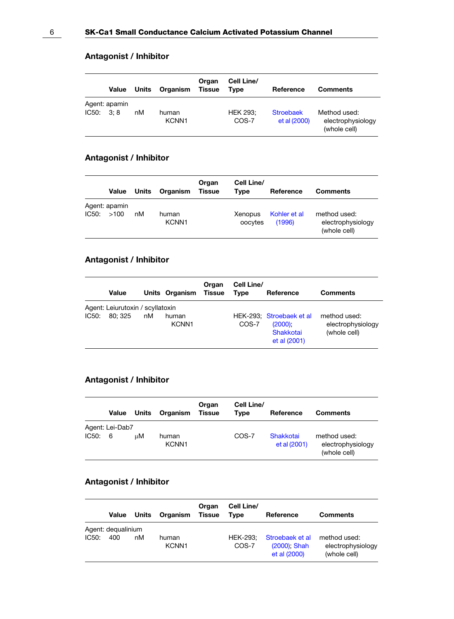### Antagonist / Inhibitor

|           | Value         | Units | Organism                   | Organ<br><b>Tissue</b> | Cell Line/<br><b>Type</b> | Reference                        | <b>Comments</b>                                   |
|-----------|---------------|-------|----------------------------|------------------------|---------------------------|----------------------------------|---------------------------------------------------|
| IC50: 3:8 | Agent: apamin | nM    | human<br>KCNN <sub>1</sub> |                        | <b>HEK 293:</b><br>COS-7  | <b>Stroebaek</b><br>et al (2000) | Method used:<br>electrophysiology<br>(whole cell) |

### Antagonist / Inhibitor

|            | Value         | Units | Organism                   | Organ<br><b>Tissue</b> | Cell Line/<br>Type | Reference              | <b>Comments</b>                                   |
|------------|---------------|-------|----------------------------|------------------------|--------------------|------------------------|---------------------------------------------------|
| IC50: >100 | Agent: apamin | nM    | human<br>KCNN <sub>1</sub> |                        | Xenopus<br>oocytes | Kohler et al<br>(1996) | method used:<br>electrophysiology<br>(whole cell) |

## Antagonist / Inhibitor

|       | Value                                       |    | Units Organism             | Organ<br>Tissue | Cell Line/<br><b>Type</b> | Reference                                                                  | <b>Comments</b>                                   |
|-------|---------------------------------------------|----|----------------------------|-----------------|---------------------------|----------------------------------------------------------------------------|---------------------------------------------------|
| IC50: | Agent: Leiurutoxin / scyllatoxin<br>80: 325 | nM | human<br>KCNN <sub>1</sub> |                 | COS-7                     | HEK-293. Stroebaek et al<br>$(2000)$ .<br><b>Shakkotai</b><br>et al (2001) | method used:<br>electrophysiology<br>(whole cell) |

### Antagonist / Inhibitor

|         | Value           | Units | Organism                   | Organ<br><b>Tissue</b> | Cell Line/<br>Tvpe | Reference                 | <b>Comments</b>                                   |
|---------|-----------------|-------|----------------------------|------------------------|--------------------|---------------------------|---------------------------------------------------|
| IC50: 6 | Agent: Lei-Dab7 | иM    | human<br>KCNN <sub>1</sub> |                        | COS-7              | Shakkotai<br>et al (2001) | method used:<br>electrophysiology<br>(whole cell) |

### Antagonist / Inhibitor

|       | Value                     | Units | Organism                   | Organ<br><b>Tissue</b> | Cell Line/<br>Tvpe | Reference                                       | <b>Comments</b>                                   |
|-------|---------------------------|-------|----------------------------|------------------------|--------------------|-------------------------------------------------|---------------------------------------------------|
| IC50: | Agent: dequalinium<br>400 | nM    | human<br>KCNN <sub>1</sub> |                        | HEK-293:<br>COS-7  | Stroebaek et al<br>(2000): Shah<br>et al (2000) | method used:<br>electrophysiology<br>(whole cell) |